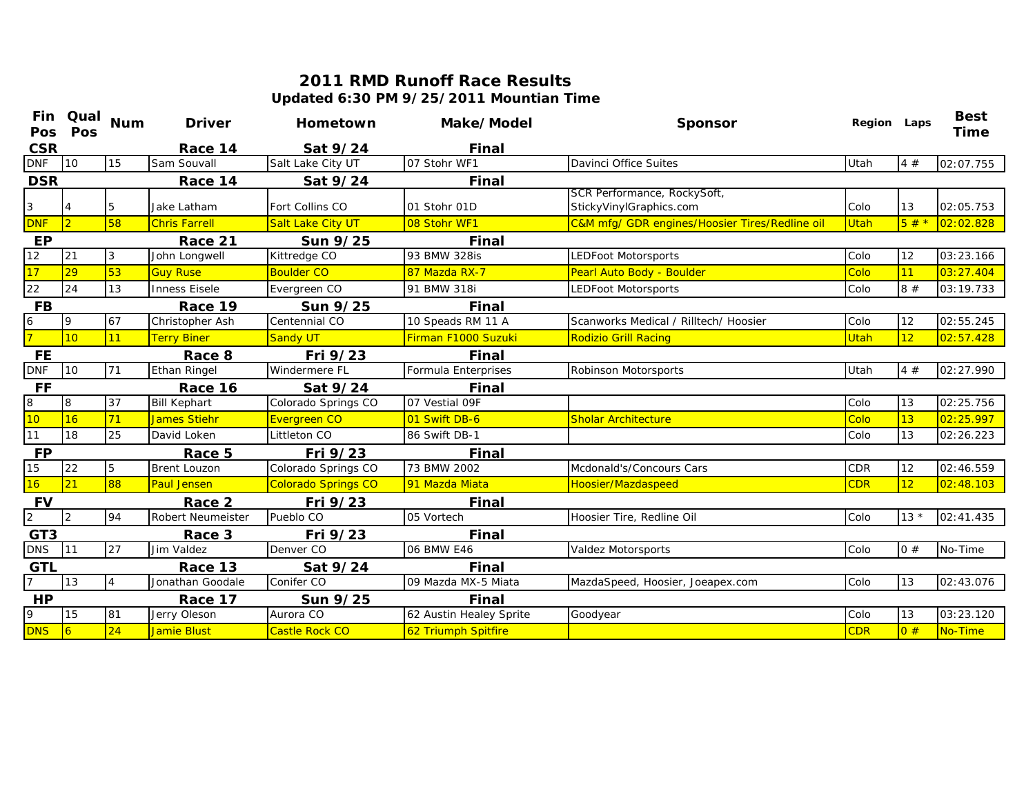## **2011 RMD Runoff Race ResultsUpdated 6:30 PM 9/25/2011 Mountian Time**

| <b>Pos</b>      | Fin Qual<br>Pos | <b>Num</b>     | <b>Driver</b>        | Hometown                   | Make/Model              | <b>Sponsor</b>                                         | Region Laps |        | <b>Best</b><br>Time |
|-----------------|-----------------|----------------|----------------------|----------------------------|-------------------------|--------------------------------------------------------|-------------|--------|---------------------|
| <b>CSR</b>      |                 |                | Race 14              | Sat 9/24                   | Final                   |                                                        |             |        |                     |
| <b>DNF</b>      | 10              | 15             | Sam Souvall          | Salt Lake City UT          | 07 Stohr WF1            | Davinci Office Suites                                  | Utah        | 4#     | 02:07.755           |
| <b>DSR</b>      |                 |                | Race 14              | Sat 9/24                   | Final                   |                                                        |             |        |                     |
| $\mathbf{3}$    |                 | 5              | Jake Latham          | Fort Collins CO            | 01 Stohr 01D            | SCR Performance, RockySoft,<br>StickyVinylGraphics.com | Colo        | 13     | 02:05.753           |
| <b>DNF</b>      | $\overline{2}$  | 58             | <b>Chris Farrell</b> | Salt Lake City UT          | 08 Stohr WF1            | C&M mfg/ GDR engines/Hoosier Tires/Redline oil         | Utah        | $5#*$  | 02:02.828           |
| <b>EP</b>       |                 |                | Race 21              | Sun 9/25                   | Final                   |                                                        |             |        |                     |
| 12              | 21              | 3              | John Longwell        | Kittredge CO               | 93 BMW 328is            | LEDFoot Motorsports                                    | Colo        | 12     | 03:23.166           |
| 17              | 29              | 53             | <b>Guy Ruse</b>      | <b>Boulder CO</b>          | 87 Mazda RX-7           | Pearl Auto Body - Boulder                              | Colo        | 11     | 03:27.404           |
| $\overline{22}$ | 24              | 13             | <b>Inness Eisele</b> | Evergreen CO               | 91 BMW 318i             | LEDFoot Motorsports                                    | Colo        | 8#     | 03:19.733           |
| <b>FB</b>       |                 |                | Race 19              | Sun 9/25                   | Final                   |                                                        |             |        |                     |
| $\frac{6}{7}$   | 9               | 67             | Christopher Ash      | Centennial CO              | 10 Speads RM 11 A       | Scanworks Medical / Rilltech/ Hoosier                  | Colo        | 12     | 02:55.245           |
|                 | 10              | 11             | <b>Terry Biner</b>   | <b>Sandy UT</b>            | Firman F1000 Suzuki     | <b>Rodizio Grill Racing</b>                            | Utah        | 12     | 02:57.428           |
| <b>FE</b>       |                 |                | Race 8               | Fri 9/23                   | Final                   |                                                        |             |        |                     |
| <b>DNF</b>      | 10              | 71             | <b>Ethan Ringel</b>  | Windermere FL              | Formula Enterprises     | Robinson Motorsports                                   | Utah        | 4#     | 02:27.990           |
| <b>FF</b>       |                 |                | Race 16              | Sat 9/24                   | Final                   |                                                        |             |        |                     |
| $\overline{8}$  | 8               | 37             | <b>Bill Kephart</b>  | Colorado Springs CO        | 07 Vestial 09F          |                                                        | Colo        | 13     | 02:25.756           |
| 10              | 16              | 71             | <b>James Stiehr</b>  | Evergreen CO               | 01 Swift DB-6           | <b>Sholar Architecture</b>                             | Colo        | 13     | 02:25.997           |
| 11              | 18              | 25             | David Loken          | Littleton CO               | 86 Swift DB-1           |                                                        | Colo        | 13     | 02:26.223           |
| <b>FP</b>       |                 |                | Race 5               | Fri 9/23                   | Final                   |                                                        |             |        |                     |
| 15              | 22              | 5              | <b>Brent Louzon</b>  | Colorado Springs CO        | 73 BMW 2002             | Mcdonald's/Concours Cars                               | <b>CDR</b>  | 12     | 02:46.559           |
| 16              | 21              | 88             | <b>Paul Jensen</b>   | <b>Colorado Springs CO</b> | 91 Mazda Miata          | Hoosier/Mazdaspeed                                     | <b>CDR</b>  | 12     | 02:48.103           |
| <b>FV</b>       |                 |                | Race 2               | Fri 9/23                   | Final                   |                                                        |             |        |                     |
| $\overline{2}$  | 2               | 94             | Robert Neumeister    | Pueblo CO                  | 05 Vortech              | Hoosier Tire, Redline Oil                              | Colo        | $13 *$ | 02:41.435           |
| GT <sub>3</sub> |                 |                | Race 3               | Fri 9/23                   | Final                   |                                                        |             |        |                     |
| <b>DNS</b>      | $\vert$ 11      | 27             | Jim Valdez           | Denver <sub>CO</sub>       | 06 BMW E46              | Valdez Motorsports                                     | Colo        | 0#     | No-Time             |
| GTL             |                 |                | Race 13              | Sat 9/24                   | Final                   |                                                        |             |        |                     |
| $\overline{7}$  | 13              | $\overline{4}$ | Jonathan Goodale     | Conifer CO                 | 09 Mazda MX-5 Miata     | MazdaSpeed, Hoosier, Joeapex.com                       | Colo        | 13     | 02:43.076           |
| <b>HP</b>       |                 |                | Race 17              | Sun 9/25                   | Final                   |                                                        |             |        |                     |
| ρ               | 15              | 81             | Jerry Oleson         | Aurora CO                  | 62 Austin Healey Sprite | Goodyear                                               | Colo        | 13     | 03:23.120           |
| <b>DNS</b>      | $\overline{6}$  | 24             | <b>Jamie Blust</b>   | Castle Rock CO             | 62 Triumph Spitfire     |                                                        | <b>CDR</b>  | 0#     | No-Time             |